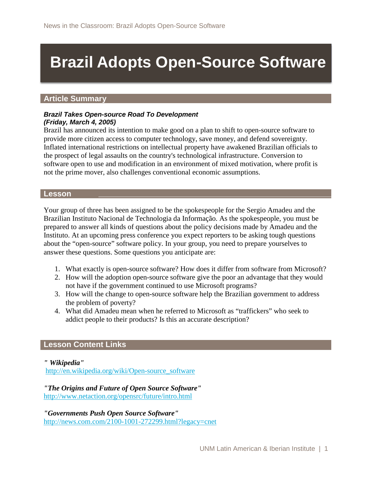# **Brazil Adopts Open-Source Software**

#### **Article Summary**

#### *Brazil Takes Open-source Road To Development (Friday, March 4, 2005)*

Brazil has announced its intention to make good on a plan to shift to open-source software to provide more citizen access to computer technology, save money, and defend sovereignty. Inflated international restrictions on intellectual property have awakened Brazilian officials to the prospect of legal assaults on the country's technological infrastructure. Conversion to software open to use and modification in an environment of mixed motivation, where profit is not the prime mover, also challenges conventional economic assumptions.

#### **Lesson**

Your group of three has been assigned to be the spokespeople for the Sergio Amadeu and the Brazilian Instituto Nacional de Technologia da Informação. As the spokespeople, you must be prepared to answer all kinds of questions about the policy decisions made by Amadeu and the Instituto. At an upcoming press conference you expect reporters to be asking tough questions about the "open-source" software policy. In your group, you need to prepare yourselves to answer these questions. Some questions you anticipate are:

- 1. What exactly is open-source software? How does it differ from software from Microsoft?
- 2. How will the adoption open-source software give the poor an advantage that they would not have if the government continued to use Microsoft programs?
- 3. How will the change to open-source software help the Brazilian government to address the problem of poverty?
- 4. What did Amadeu mean when he referred to Microsoft as "traffickers" who seek to addict people to their products? Is this an accurate description?

#### **Lesson Content Links**

*" Wikipedia"*

[http://en.wikipedia.org/wiki/Open-source\\_software](http://en.wikipedia.org/wiki/Open-source_software)

*"The Origins and Future of Open Source Software"*  <http://www.netaction.org/opensrc/future/intro.html>

*"Governments Push Open Source Software"* <http://news.com.com/2100-1001-272299.html?legacy=cnet>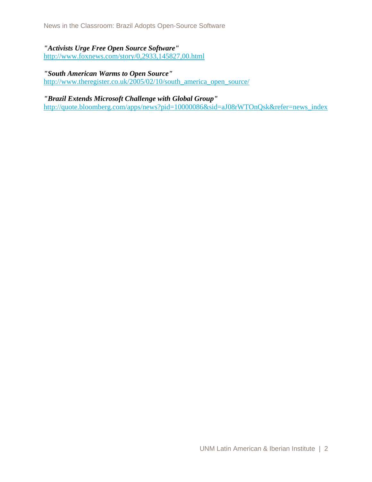### *"Activists Urge Free Open Source Software"*  <http://www.foxnews.com/story/0,2933,145827,00.html>

#### *"South American Warms to Open Source"*  [http://www.theregister.co.uk/2005/02/10/south\\_america\\_open\\_source/](http://www.theregister.co.uk/2005/02/10/south_america_open_source/)

*"Brazil Extends Microsoft Challenge with Global Group"*  [http://quote.bloomberg.com/apps/news?pid=10000086&sid=aJ08rWTOnQsk&refer=news\\_index](http://quote.bloomberg.com/apps/news?pid=10000086&sid=aJ08rWTOnQsk&refer=news_index)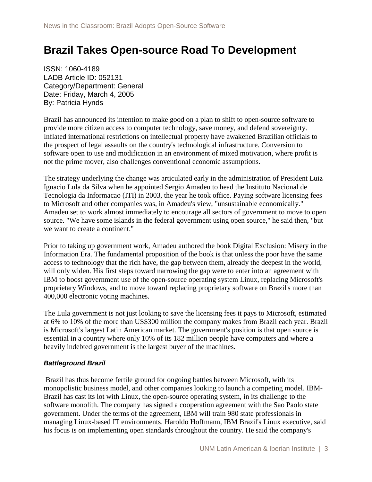## **Brazil Takes Open-source Road To Development**

ISSN: 1060-4189 LADB Article ID: 052131 Category/Department: General Date: Friday, March 4, 2005 By: Patricia Hynds

Brazil has announced its intention to make good on a plan to shift to open-source software to provide more citizen access to computer technology, save money, and defend sovereignty. Inflated international restrictions on intellectual property have awakened Brazilian officials to the prospect of legal assaults on the country's technological infrastructure. Conversion to software open to use and modification in an environment of mixed motivation, where profit is not the prime mover, also challenges conventional economic assumptions.

The strategy underlying the change was articulated early in the administration of President Luiz Ignacio Lula da Silva when he appointed Sergio Amadeu to head the Instituto Nacional de Tecnologia da Informacao (ITI) in 2003, the year he took office. Paying software licensing fees to Microsoft and other companies was, in Amadeu's view, "unsustainable economically." Amadeu set to work almost immediately to encourage all sectors of government to move to open source. "We have some islands in the federal government using open source," he said then, "but we want to create a continent."

Prior to taking up government work, Amadeu authored the book Digital Exclusion: Misery in the Information Era. The fundamental proposition of the book is that unless the poor have the same access to technology that the rich have, the gap between them, already the deepest in the world, will only widen. His first steps toward narrowing the gap were to enter into an agreement with IBM to boost government use of the open-source operating system Linux, replacing Microsoft's proprietary Windows, and to move toward replacing proprietary software on Brazil's more than 400,000 electronic voting machines.

The Lula government is not just looking to save the licensing fees it pays to Microsoft, estimated at 6% to 10% of the more than US\$300 million the company makes from Brazil each year. Brazil is Microsoft's largest Latin American market. The government's position is that open source is essential in a country where only 10% of its 182 million people have computers and where a heavily indebted government is the largest buyer of the machines.

#### *Battleground Brazil*

Brazil has thus become fertile ground for ongoing battles between Microsoft, with its monopolistic business model, and other companies looking to launch a competing model. IBM-Brazil has cast its lot with Linux, the open-source operating system, in its challenge to the software monolith. The company has signed a cooperation agreement with the Sao Paolo state government. Under the terms of the agreement, IBM will train 980 state professionals in managing Linux-based IT environments. Haroldo Hoffmann, IBM Brazil's Linux executive, said his focus is on implementing open standards throughout the country. He said the company's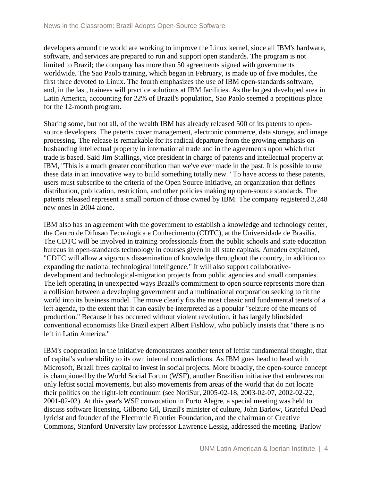developers around the world are working to improve the Linux kernel, since all IBM's hardware, software, and services are prepared to run and support open standards. The program is not limited to Brazil; the company has more than 50 agreements signed with governments worldwide. The Sao Paolo training, which began in February, is made up of five modules, the first three devoted to Linux. The fourth emphasizes the use of IBM open-standards software, and, in the last, trainees will practice solutions at IBM facilities. As the largest developed area in Latin America, accounting for 22% of Brazil's population, Sao Paolo seemed a propitious place for the 12-month program.

Sharing some, but not all, of the wealth IBM has already released 500 of its patents to opensource developers. The patents cover management, electronic commerce, data storage, and image processing. The release is remarkable for its radical departure from the growing emphasis on husbanding intellectual property in international trade and in the agreements upon which that trade is based. Said Jim Stallings, vice president in charge of patents and intellectual property at IBM, "This is a much greater contribution than we've ever made in the past. It is possible to use these data in an innovative way to build something totally new." To have access to these patents, users must subscribe to the criteria of the Open Source Initiative, an organization that defines distribution, publication, restriction, and other policies making up open-source standards. The patents released represent a small portion of those owned by IBM. The company registered 3,248 new ones in 2004 alone.

IBM also has an agreement with the government to establish a knowledge and technology center, the Centro de Difusao Tecnologica e Conhecimento (CDTC), at the Universidade de Brasilia. The CDTC will be involved in training professionals from the public schools and state education bureaus in open-standards technology in courses given in all state capitals. Amadeu explained, "CDTC will allow a vigorous dissemination of knowledge throughout the country, in addition to expanding the national technological intelligence." It will also support collaborativedevelopment and technological-migration projects from public agencies and small companies. The left operating in unexpected ways Brazil's commitment to open source represents more than a collision between a developing government and a multinational corporation seeking to fit the world into its business model. The move clearly fits the most classic and fundamental tenets of a left agenda, to the extent that it can easily be interpreted as a popular "seizure of the means of production." Because it has occurred without violent revolution, it has largely blindsided conventional economists like Brazil expert Albert Fishlow, who publicly insists that "there is no left in Latin America."

IBM's cooperation in the initiative demonstrates another tenet of leftist fundamental thought, that of capital's vulnerability to its own internal contradictions. As IBM goes head to head with Microsoft, Brazil frees capital to invest in social projects. More broadly, the open-source concept is championed by the World Social Forum (WSF), another Brazilian initiative that embraces not only leftist social movements, but also movements from areas of the world that do not locate their politics on the right-left continuum (see NotiSur, 2005-02-18, 2003-02-07, 2002-02-22, 2001-02-02). At this year's WSF convocation in Porto Alegre, a special meeting was held to discuss software licensing. Gilberto Gil, Brazil's minister of culture, John Barlow, Grateful Dead lyricist and founder of the Electronic Frontier Foundation, and the chairman of Creative Commons, Stanford University law professor Lawrence Lessig, addressed the meeting. Barlow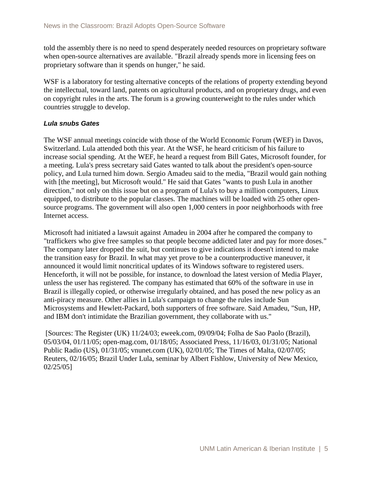told the assembly there is no need to spend desperately needed resources on proprietary software when open-source alternatives are available. "Brazil already spends more in licensing fees on proprietary software than it spends on hunger," he said.

WSF is a laboratory for testing alternative concepts of the relations of property extending beyond the intellectual, toward land, patents on agricultural products, and on proprietary drugs, and even on copyright rules in the arts. The forum is a growing counterweight to the rules under which countries struggle to develop.

#### *Lula snubs Gates*

The WSF annual meetings coincide with those of the World Economic Forum (WEF) in Davos, Switzerland. Lula attended both this year. At the WSF, he heard criticism of his failure to increase social spending. At the WEF, he heard a request from Bill Gates, Microsoft founder, for a meeting. Lula's press secretary said Gates wanted to talk about the president's open-source policy, and Lula turned him down. Sergio Amadeu said to the media, "Brazil would gain nothing with [the meeting], but Microsoft would." He said that Gates "wants to push Lula in another direction," not only on this issue but on a program of Lula's to buy a million computers, Linux equipped, to distribute to the popular classes. The machines will be loaded with 25 other opensource programs. The government will also open 1,000 centers in poor neighborhoods with free Internet access.

Microsoft had initiated a lawsuit against Amadeu in 2004 after he compared the company to "traffickers who give free samples so that people become addicted later and pay for more doses." The company later dropped the suit, but continues to give indications it doesn't intend to make the transition easy for Brazil. In what may yet prove to be a counterproductive maneuver, it announced it would limit noncritical updates of its Windows software to registered users. Henceforth, it will not be possible, for instance, to download the latest version of Media Player, unless the user has registered. The company has estimated that 60% of the software in use in Brazil is illegally copied, or otherwise irregularly obtained, and has posed the new policy as an anti-piracy measure. Other allies in Lula's campaign to change the rules include Sun Microsystems and Hewlett-Packard, both supporters of free software. Said Amadeu, "Sun, HP, and IBM don't intimidate the Brazilian government, they collaborate with us."

[Sources: The Register (UK) 11/24/03; eweek.com, 09/09/04; Folha de Sao Paolo (Brazil), 05/03/04, 01/11/05; open-mag.com, 01/18/05; Associated Press, 11/16/03, 01/31/05; National Public Radio (US), 01/31/05; vnunet.com (UK), 02/01/05; The Times of Malta, 02/07/05; Reuters, 02/16/05; Brazil Under Lula, seminar by Albert Fishlow, University of New Mexico, 02/25/05]